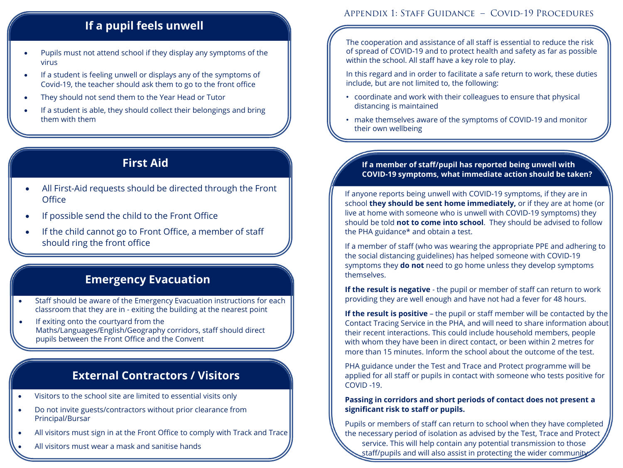# **If a pupil feels unwell**

- Pupils must not attend school if they display any symptoms of the virus
- If a student is feeling unwell or displays any of the symptoms of Covid-19, the teacher should ask them to go to the front office
- They should not send them to the Year Head or Tutor
- If a student is able, they should collect their belongings and bring them with them

# **First Aid**

- All First-Aid requests should be directed through the Front **Office**
- If possible send the child to the Front Office
- If the child cannot go to Front Office, a member of staff should ring the front office

### **Emergency Evacuation Emergency Evacuation**

- Staff should be aware of the Emergency Evacuation instructions for each classroom that they are in - exiting the building at the nearest point
- If exiting onto the courtyard from the Maths/Languages/English/Geography corridors, staff should direct pupils between the Front Office and the Convent

### **External Contractors / Visitors**

- Visitors to the school site are limited to essential visits only
- Do not invite guests/contractors without prior clearance from Principal/Bursar
- All visitors must sign in at the Front Office to comply with Track and Trace
- All visitors must wear a mask and sanitise hands

### Appendix 1: Staff Guidance – Covid-19 Procedures

The cooperation and assistance of all staff is essential to reduce the risk of spread of COVID-19 and to protect health and safety as far as possible within the school. All staff have a key role to play.

In this regard and in order to facilitate a safe return to work, these duties include, but are not limited to, the following:

- coordinate and work with their colleagues to ensure that physical distancing is maintained
- make themselves aware of the symptoms of COVID-19 and monitor their own wellbeing

### **If a member of staff/pupil has reported being unwell with COVID-19 symptoms, what immediate action should be taken?**

If anyone reports being unwell with COVID-19 symptoms, if they are in school **they should be sent home immediately,** or if they are at home (or live at home with someone who is unwell with COVID-19 symptoms) they should be told **not to come into school**. They should be advised to follow the PHA guidance\* and obtain a test.

If a member of staff (who was wearing the appropriate PPE and adhering to the social distancing guidelines) has helped someone with COVID-19 symptoms they **do not** need to go home unless they develop symptoms themselves.

**If the result is negative** - the pupil or member of staff can return to work providing they are well enough and have not had a fever for 48 hours.

**If the result is positive** – the pupil or staff member will be contacted by the Contact Tracing Service in the PHA, and will need to share information about their recent interactions. This could include household members, people with whom they have been in direct contact, or been within 2 metres for more than 15 minutes. Inform the school about the outcome of the test.

PHA guidance under the Test and Trace and Protect programme will be applied for all staff or pupils in contact with someone who tests positive for COVID -19.

### **Passing in corridors and short periods of contact does not present a significant risk to staff or pupils.**

Pupils or members of staff can return to school when they have completed the necessary period of isolation as advised by the Test, Trace and Protect

service. This will help contain any potential transmission to those staff/pupils and will also assist in protecting the wider community